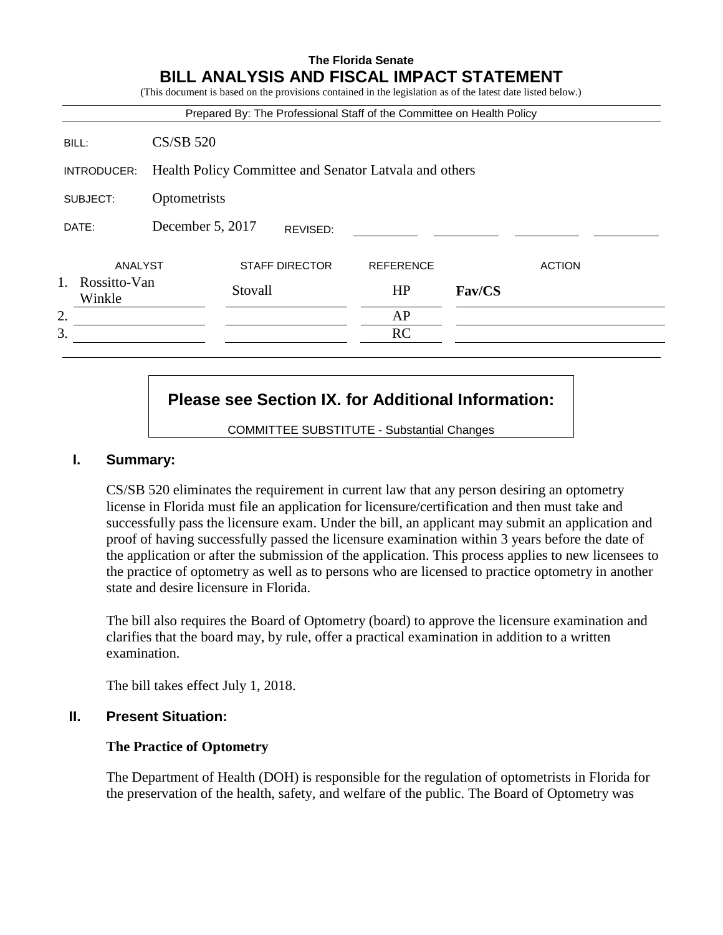## **The Florida Senate BILL ANALYSIS AND FISCAL IMPACT STATEMENT**

(This document is based on the provisions contained in the legislation as of the latest date listed below.)

|                                              |                                                        |                                  |  | Prepared By: The Professional Staff of the Committee on Health Policy |        |               |  |
|----------------------------------------------|--------------------------------------------------------|----------------------------------|--|-----------------------------------------------------------------------|--------|---------------|--|
| BILL:                                        | <b>CS/SB 520</b>                                       |                                  |  |                                                                       |        |               |  |
| INTRODUCER:                                  | Health Policy Committee and Senator Latvala and others |                                  |  |                                                                       |        |               |  |
| SUBJECT:                                     | Optometrists                                           |                                  |  |                                                                       |        |               |  |
| DATE:                                        | December 5, 2017<br>REVISED:                           |                                  |  |                                                                       |        |               |  |
| ANALYST<br>$1_{-}$<br>Rossitto-Van<br>Winkle |                                                        | <b>STAFF DIRECTOR</b><br>Stovall |  | <b>REFERENCE</b><br>HP                                                | Fav/CS | <b>ACTION</b> |  |
| 2.                                           |                                                        |                                  |  | AP                                                                    |        |               |  |
| 3.                                           |                                                        |                                  |  | <b>RC</b>                                                             |        |               |  |

# **Please see Section IX. for Additional Information:**

COMMITTEE SUBSTITUTE - Substantial Changes

#### **I. Summary:**

CS/SB 520 eliminates the requirement in current law that any person desiring an optometry license in Florida must file an application for licensure/certification and then must take and successfully pass the licensure exam. Under the bill, an applicant may submit an application and proof of having successfully passed the licensure examination within 3 years before the date of the application or after the submission of the application. This process applies to new licensees to the practice of optometry as well as to persons who are licensed to practice optometry in another state and desire licensure in Florida.

The bill also requires the Board of Optometry (board) to approve the licensure examination and clarifies that the board may, by rule, offer a practical examination in addition to a written examination.

The bill takes effect July 1, 2018.

## **II. Present Situation:**

#### **The Practice of Optometry**

The Department of Health (DOH) is responsible for the regulation of optometrists in Florida for the preservation of the health, safety, and welfare of the public. The Board of Optometry was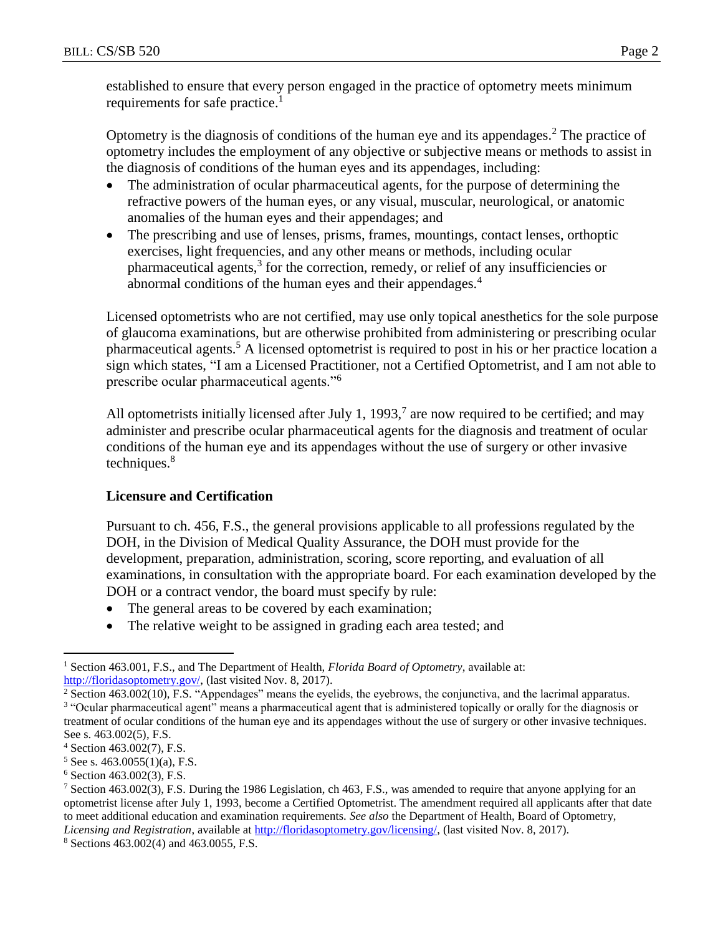established to ensure that every person engaged in the practice of optometry meets minimum requirements for safe practice.<sup>1</sup>

Optometry is the diagnosis of conditions of the human eye and its appendages.<sup>2</sup> The practice of optometry includes the employment of any objective or subjective means or methods to assist in the diagnosis of conditions of the human eyes and its appendages, including:

- The administration of ocular pharmaceutical agents, for the purpose of determining the refractive powers of the human eyes, or any visual, muscular, neurological, or anatomic anomalies of the human eyes and their appendages; and
- The prescribing and use of lenses, prisms, frames, mountings, contact lenses, orthoptic exercises, light frequencies, and any other means or methods, including ocular pharmaceutical agents,<sup>3</sup> for the correction, remedy, or relief of any insufficiencies or abnormal conditions of the human eyes and their appendages.<sup>4</sup>

Licensed optometrists who are not certified, may use only topical anesthetics for the sole purpose of glaucoma examinations, but are otherwise prohibited from administering or prescribing ocular pharmaceutical agents.<sup>5</sup> A licensed optometrist is required to post in his or her practice location a sign which states, "I am a Licensed Practitioner, not a Certified Optometrist, and I am not able to prescribe ocular pharmaceutical agents."<sup>6</sup>

All optometrists initially licensed after July 1, 1993,<sup>7</sup> are now required to be certified; and may administer and prescribe ocular pharmaceutical agents for the diagnosis and treatment of ocular conditions of the human eye and its appendages without the use of surgery or other invasive techniques. $8<sup>8</sup>$ 

## **Licensure and Certification**

Pursuant to ch. 456, F.S., the general provisions applicable to all professions regulated by the DOH, in the Division of Medical Quality Assurance, the DOH must provide for the development, preparation, administration, scoring, score reporting, and evaluation of all examinations, in consultation with the appropriate board. For each examination developed by the DOH or a contract vendor, the board must specify by rule:

- The general areas to be covered by each examination;
- The relative weight to be assigned in grading each area tested; and

 $\overline{a}$ 

<sup>1</sup> Section 463.001, F.S., and The Department of Health, *Florida Board of Optometry*, available at: [http://floridasoptometry.gov/,](http://floridasoptometry.gov/) (last visited Nov. 8, 2017).

<sup>&</sup>lt;sup>2</sup> Section 463.002(10), F.S. "Appendages" means the eyelids, the eyebrows, the conjunctiva, and the lacrimal apparatus. <sup>3</sup> "Ocular pharmaceutical agent" means a pharmaceutical agent that is administered topically or orally for the diagnosis or treatment of ocular conditions of the human eye and its appendages without the use of surgery or other invasive techniques. See s. 463.002(5), F.S.

<sup>4</sup> Section 463.002(7), F.S.

 $5$  See s. 463.0055(1)(a), F.S.

 $6$  Section 463.002(3), F.S.

<sup>7</sup> Section 463.002(3), F.S. During the 1986 Legislation, ch 463, F.S., was amended to require that anyone applying for an optometrist license after July 1, 1993, become a Certified Optometrist. The amendment required all applicants after that date to meet additional education and examination requirements. *See also* the Department of Health, Board of Optometry, *Licensing and Registration*, available at [http://floridasoptometry.gov/licensing/,](http://floridasoptometry.gov/licensing/) (last visited Nov. 8, 2017).

<sup>8</sup> Sections 463.002(4) and 463.0055, F.S.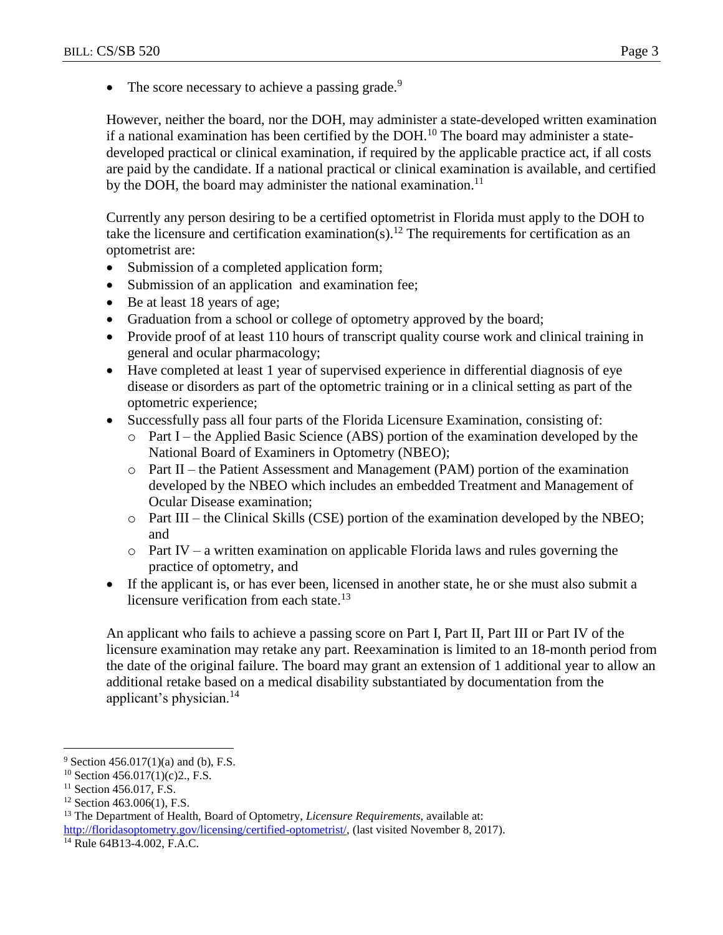$\bullet$  The score necessary to achieve a passing grade.<sup>9</sup>

However, neither the board, nor the DOH, may administer a state-developed written examination if a national examination has been certified by the DOH.<sup>10</sup> The board may administer a statedeveloped practical or clinical examination, if required by the applicable practice act, if all costs are paid by the candidate. If a national practical or clinical examination is available, and certified by the DOH, the board may administer the national examination.<sup>11</sup>

Currently any person desiring to be a certified optometrist in Florida must apply to the DOH to take the licensure and certification examination(s).<sup>12</sup> The requirements for certification as an optometrist are:

- Submission of a completed application form;
- Submission of an application and examination fee;
- Be at least 18 years of age;
- Graduation from a school or college of optometry approved by the board;
- Provide proof of at least 110 hours of transcript quality course work and clinical training in general and ocular pharmacology;
- Have completed at least 1 year of supervised experience in differential diagnosis of eye disease or disorders as part of the optometric training or in a clinical setting as part of the optometric experience;
- Successfully pass all four parts of the Florida Licensure Examination, consisting of:
	- o Part I the Applied Basic Science (ABS) portion of the examination developed by the National Board of Examiners in Optometry (NBEO);
	- o Part II the Patient Assessment and Management (PAM) portion of the examination developed by the NBEO which includes an embedded Treatment and Management of Ocular Disease examination;
	- $\circ$  Part III the Clinical Skills (CSE) portion of the examination developed by the NBEO; and
	- $\circ$  Part IV a written examination on applicable Florida laws and rules governing the practice of optometry, and
- If the applicant is, or has ever been, licensed in another state, he or she must also submit a licensure verification from each state.<sup>13</sup>

An applicant who fails to achieve a passing score on Part I, Part II, Part III or Part IV of the licensure examination may retake any part. Reexamination is limited to an 18-month period from the date of the original failure. The board may grant an extension of 1 additional year to allow an additional retake based on a medical disability substantiated by documentation from the applicant's physician.<sup>14</sup>

 $\overline{a}$ 

 $9$  Section 456.017(1)(a) and (b), F.S.

 $10$  Section 456.017(1)(c)2., F.S.

<sup>&</sup>lt;sup>11</sup> Section 456.017, F.S.

 $12$  Section 463.006(1), F.S.

<sup>13</sup> The Department of Health, Board of Optometry, *Licensure Requirements*, available at: [http://floridasoptometry.gov/licensing/certified-optometrist/,](http://floridasoptometry.gov/licensing/certified-optometrist/) (last visited November 8, 2017).

<sup>14</sup> Rule 64B13-4.002, F.A.C.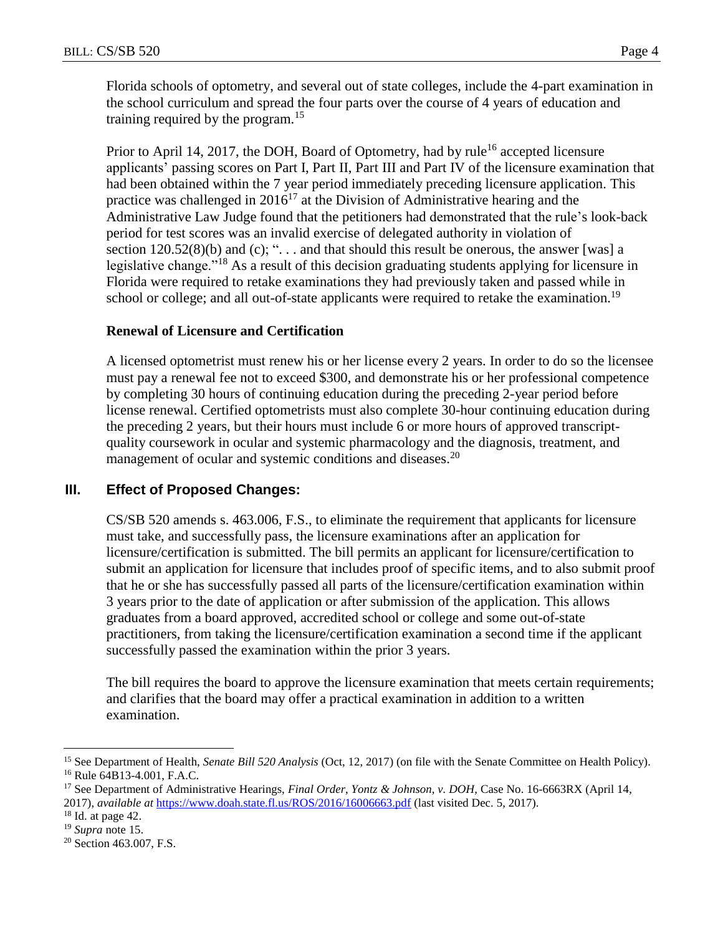Florida schools of optometry, and several out of state colleges, include the 4-part examination in the school curriculum and spread the four parts over the course of 4 years of education and training required by the program.<sup>15</sup>

Prior to April 14, 2017, the DOH, Board of Optometry, had by rule<sup>16</sup> accepted licensure applicants' passing scores on Part I, Part II, Part III and Part IV of the licensure examination that had been obtained within the 7 year period immediately preceding licensure application. This practice was challenged in  $2016^{17}$  at the Division of Administrative hearing and the Administrative Law Judge found that the petitioners had demonstrated that the rule's look-back period for test scores was an invalid exercise of delegated authority in violation of section  $120.52(8)(b)$  and (c); "... and that should this result be onerous, the answer [was] a legislative change."<sup>18</sup> As a result of this decision graduating students applying for licensure in Florida were required to retake examinations they had previously taken and passed while in school or college; and all out-of-state applicants were required to retake the examination.<sup>19</sup>

## **Renewal of Licensure and Certification**

A licensed optometrist must renew his or her license every 2 years. In order to do so the licensee must pay a renewal fee not to exceed \$300, and demonstrate his or her professional competence by completing 30 hours of continuing education during the preceding 2-year period before license renewal. Certified optometrists must also complete 30-hour continuing education during the preceding 2 years, but their hours must include 6 or more hours of approved transcriptquality coursework in ocular and systemic pharmacology and the diagnosis, treatment, and management of ocular and systemic conditions and diseases.<sup>20</sup>

## **III. Effect of Proposed Changes:**

CS/SB 520 amends s. 463.006, F.S., to eliminate the requirement that applicants for licensure must take, and successfully pass, the licensure examinations after an application for licensure/certification is submitted. The bill permits an applicant for licensure/certification to submit an application for licensure that includes proof of specific items, and to also submit proof that he or she has successfully passed all parts of the licensure/certification examination within 3 years prior to the date of application or after submission of the application. This allows graduates from a board approved, accredited school or college and some out-of-state practitioners, from taking the licensure/certification examination a second time if the applicant successfully passed the examination within the prior 3 years.

The bill requires the board to approve the licensure examination that meets certain requirements; and clarifies that the board may offer a practical examination in addition to a written examination.

 $\overline{a}$ 

<sup>15</sup> See Department of Health, *Senate Bill 520 Analysis* (Oct, 12, 2017) (on file with the Senate Committee on Health Policy). <sup>16</sup> Rule 64B13-4.001, F.A.C.

<sup>17</sup> See Department of Administrative Hearings, *Final Order*, *Yontz & Johnson, v. DOH*, Case No. 16-6663RX (April 14, 2017), *available at* <https://www.doah.state.fl.us/ROS/2016/16006663.pdf> (last visited Dec. 5, 2017).

 $18$  Id. at page 42.

<sup>19</sup> *Supra* note 15.

<sup>&</sup>lt;sup>20</sup> Section 463.007, F.S.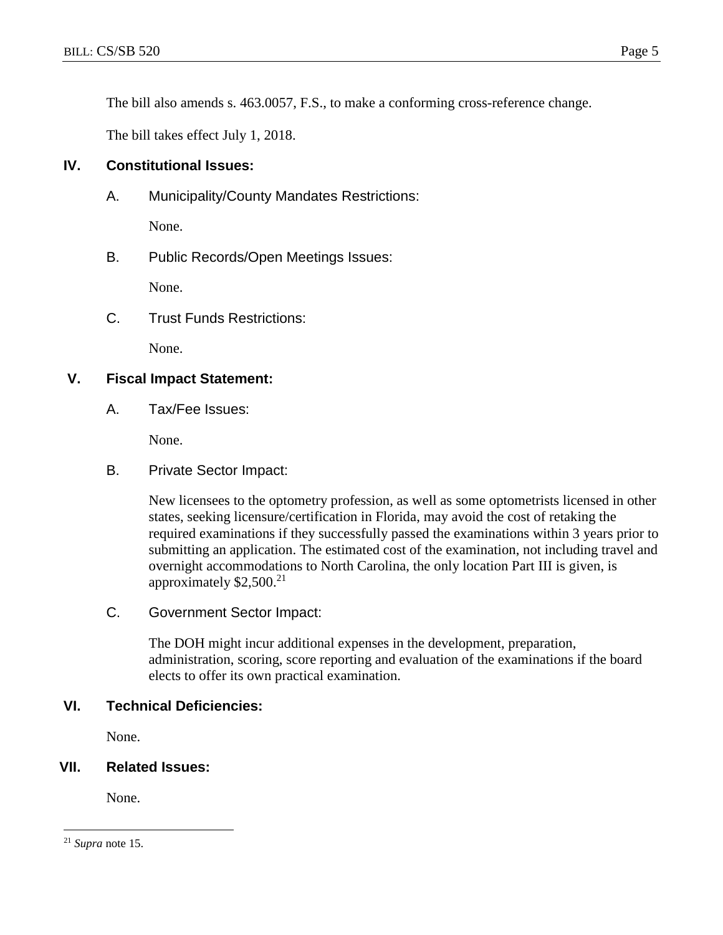The bill also amends s. 463.0057, F.S., to make a conforming cross-reference change.

The bill takes effect July 1, 2018.

#### **IV. Constitutional Issues:**

A. Municipality/County Mandates Restrictions:

None.

B. Public Records/Open Meetings Issues:

None.

C. Trust Funds Restrictions:

None.

#### **V. Fiscal Impact Statement:**

A. Tax/Fee Issues:

None.

B. Private Sector Impact:

New licensees to the optometry profession, as well as some optometrists licensed in other states, seeking licensure/certification in Florida, may avoid the cost of retaking the required examinations if they successfully passed the examinations within 3 years prior to submitting an application. The estimated cost of the examination, not including travel and overnight accommodations to North Carolina, the only location Part III is given, is approximately  $$2,500.<sup>21</sup>$ 

C. Government Sector Impact:

The DOH might incur additional expenses in the development, preparation, administration, scoring, score reporting and evaluation of the examinations if the board elects to offer its own practical examination.

#### **VI. Technical Deficiencies:**

None.

## **VII. Related Issues:**

None.

 $\overline{a}$ <sup>21</sup> *Supra* note 15.